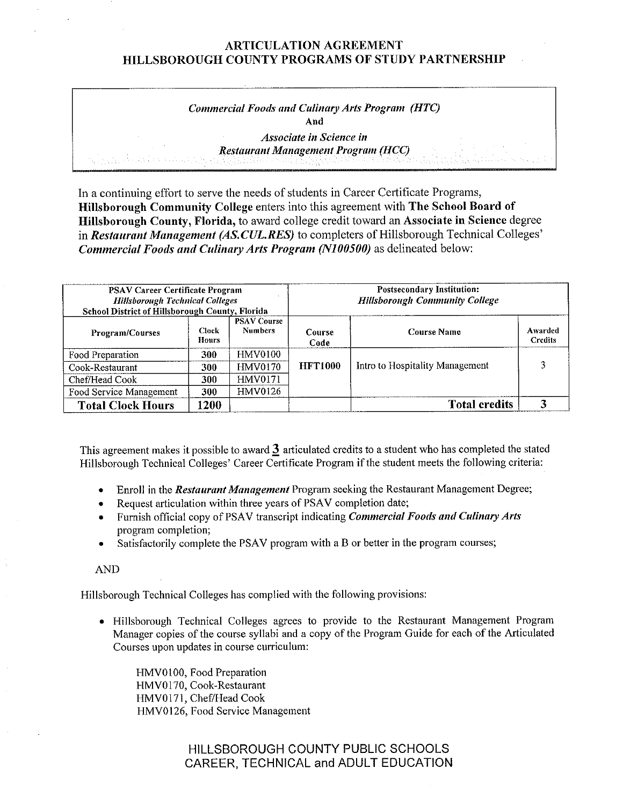# *Commercial Foods and Culinary Arts Program (HTC)*  **And**

*Associate in Science in Restaurant Management Program (HCC)* 

In a continuing effort to serve the needs of students in Career Certificate Programs, **Hillsborough Community College** enters into this agreement with **The School Board of Hillsborough County, Florida,** to award college credit toward an **Associate in Science** degree in *Restaurant Management (AS.CUL.RES)* to completers of Hillsborough Technical Colleges' *Commercial Foods and Culinary Arts Program (N100500)* **as delineated below:** 

| <b>PSAV Career Certificate Program</b><br><b>Hillsborough Technical Colleges</b><br><b>School District of Hillsborough County, Florida</b> |                              |                                      | <b>Postsecondary Institution:</b><br><b>Hillsborough Community College</b> |                                 |                           |  |
|--------------------------------------------------------------------------------------------------------------------------------------------|------------------------------|--------------------------------------|----------------------------------------------------------------------------|---------------------------------|---------------------------|--|
| <b>Program/Courses</b>                                                                                                                     | <b>Clock</b><br><b>Hours</b> | <b>PSAV Course</b><br><b>Numbers</b> | Course<br>Code                                                             | <b>Course Name</b>              | Awarded<br><b>Credits</b> |  |
| Food Preparation                                                                                                                           | 300                          | <b>HMV0100</b>                       | <b>HFT1000</b>                                                             | Intro to Hospitality Management |                           |  |
| Cook-Restaurant                                                                                                                            | 300                          | <b>HMV0170</b>                       |                                                                            |                                 |                           |  |
| Chef/Head Cook                                                                                                                             | 300                          | HMV0171                              |                                                                            |                                 |                           |  |
| Food Service Management                                                                                                                    | 300                          | HMV0126                              |                                                                            |                                 |                           |  |
| <b>Total Clock Hours</b>                                                                                                                   | 1200                         |                                      |                                                                            | <b>Total credits</b>            |                           |  |

This agreement makes it possible to award 3 articulated credits to a student who has completed the stated Hillsborough Technical Colleges' Career Certificate Program if the student meets the following criteria:

- Enroll in the *Restaurant Management* Program seeking the Restaurant Management Degree;
- Request articulation within three years of PSAV completion date;
- Furnish official copy of PSA V transcript indicating *Commercial Foods and Culinary Arts*  program completion;
- Satisfactorily complete the PSAV program with a B or better in the program courses;

AND

Hillsborough Technical Colleges has complied with the following provisions:

• Hillsborough Technical Colleges agrees to provide to the Restaurant Management Program Manager copies of the course syllabi and a copy of the Program Guide for each of the Articulated Courses upon updates in course curriculum:

HMV0100, Food Preparation HMV0l70, Cook-Restaurant HMV0171, Chef/Head Cook HMV0126, Food Service Management

> HILLSBOROUGH COUNTY PUBLIC SCHOOLS CAREER, TECHNICAL and ADULT EDUCATION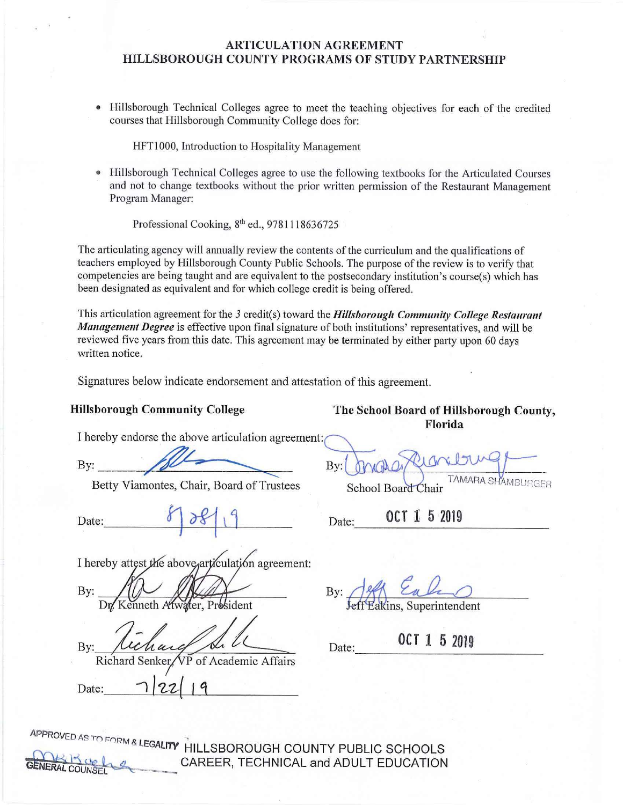• Hillsborough Technical Colleges agree to meet the teaching objectives for each of the credited courses that Hillsborough Community College does for:

HFTl 000, Introduction to Hospitality Management

• Hillsborough Technical Colleges agree to use the following textbooks for the Articulated Courses and not to change textbooks without the prior written permission of the Restaurant Management Program Manager:

Professional Cooking, 8<sup>th</sup> ed., 9781118636725

The articulating agency will annually review the contents of the curriculum and the qualifications of teachers employed by Hillsborough County Public Schools. The purpose of the review is to verify that competencies are being taught and are equivalent to the postsecondary institution's course(s) which has been designated as equivalent and for which college credit is being offered.

This articulation agreement for the 3 credit(s) toward the *Hillsborough Community College Restaurant Management Degree* is effective upon final signature of both institutions' representatives, and will be reviewed five years from this date. This agreement may be terminated by either party upon 60 days written notice.

Signatures below indicate endorsement and attestation of this agreement.

I hereby endorse the above articulation agreement:

I hereby endorse the above articulation<br>By:  $\frac{f}{f}$ 

Betty Viamontes, Chair, Board of Trustees

Betty Viamontes, Chair, Board of Trustees<br>Date:  $\begin{array}{c|c} \mathcal{E} \end{array}$  Date: 0CT 1 5 2019

I hereby attest the above articulation agreement:

 $By:$ ater. President

 $Bv:$ 

*Date: \_\_1\_\_\_\_\_.\_}-=1;-=-~-+-(*\_.\_I\_.\_'}\_\_\_ \_

By:  $\frac{1}{2}$  Eales

Date: 0CT 1 5 2019

APPROVED AS TO FORM 2 LESSANDER **ANA LEGALITY HILLSBOROUGH COUNTY PUBLIC SCHOOLS**<br>CAREER, TECHNICAL and ADULT EDUCATION

**Hillsborough Community College The School Board of Hillsborough County, Florida** 

By: **AMBURGER** 

 $_{\text{Date:}}$  0CT 1 5 2019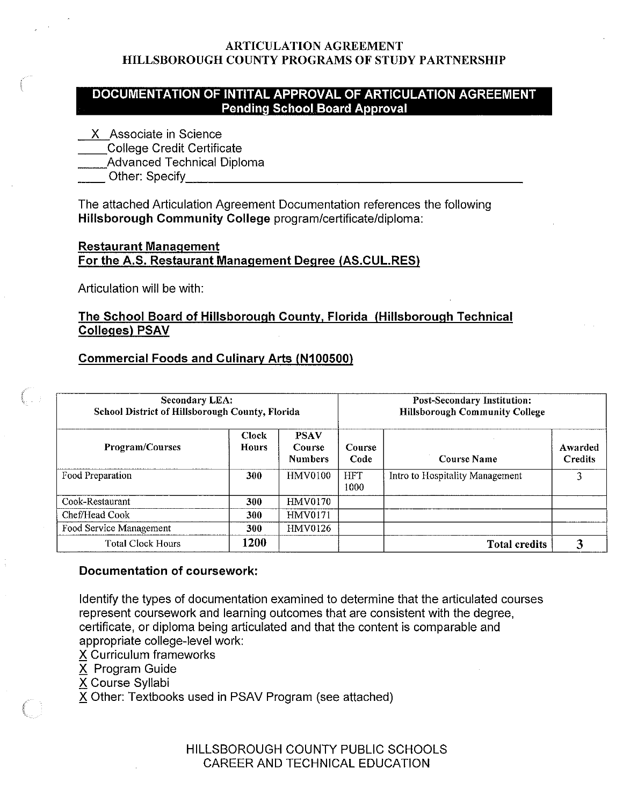## **DOCUMENTATION OF INTITAL APPROVAL OF ARTICULATION AGREEMENT Pending School Board Approval**

- **X** Associate in Science
- \_\_College Credit Certificate
- \_\_\_\_College Credit Certificate<br>\_\_\_\_Advanced Technical Diploma

\_\_ Other: Specify\_\_\_\_\_\_\_\_\_\_\_\_\_\_\_\_\_\_\_\_\_\_\_

The attached Articulation Agreement Documentation references the following **Hillsborough Community College** program/certificate/diploma:

## **Restaurant Management For the A.S. Restaurant Management Degree (AS.CUL.RES)**

Articulation will be with:

## **The School Board of Hillsborough County, Florida (Hillsborough Technical Colleges) PSAV**

## **Commercial Foods and Culinary Arts {N100500)**

| <b>Secondary LEA:</b><br>School District of Hillsborough County, Florida |                              |                                         | <b>Post-Secondary Institution:</b><br><b>Hillsborough Community College</b> |                                 |                           |
|--------------------------------------------------------------------------|------------------------------|-----------------------------------------|-----------------------------------------------------------------------------|---------------------------------|---------------------------|
| Program/Courses                                                          | <b>Clock</b><br><b>Hours</b> | <b>PSAV</b><br>Course<br><b>Numbers</b> | Course<br>Code                                                              | Course Name                     | Awarded<br><b>Credits</b> |
| Food Preparation                                                         | 300                          | <b>HMV0100</b>                          | <b>HFT</b><br>1000                                                          | Intro to Hospitality Management |                           |
| Cook-Restaurant                                                          | 300                          | <b>HMV0170</b>                          |                                                                             |                                 |                           |
| Chef/Head Cook                                                           | 300                          | HMV0171                                 |                                                                             |                                 |                           |
| Food Service Management                                                  | 300                          | HMV0126                                 |                                                                             |                                 |                           |
| <b>Total Clock Hours</b>                                                 | 1200                         |                                         |                                                                             | <b>Total credits</b>            | 3                         |

### **Documentation of coursework:**

Identify the types of documentation examined to determine that the articulated courses represent coursework and learning outcomes that are consistent with the degree, certificate, or diploma being articulated and that the content is comparable and appropriate college-level work:

X Curriculum frameworks

 $\overline{X}$  Program Guide

X Course Syllabi

X Other: Textbooks used in PSAV Program (see attached)

HILLSBOROUGH COUNTY PUBLIC SCHOOLS CAREER AND TECHNICAL EDUCATION